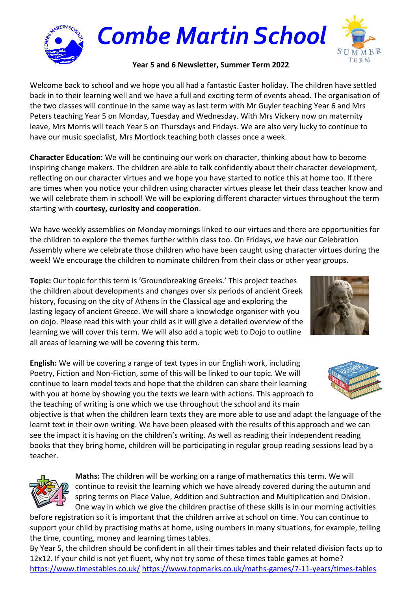

## **Year 5 and 6 Newsletter, Summer Term 2022**

Welcome back to school and we hope you all had a fantastic Easter holiday. The children have settled back in to their learning well and we have a full and exciting term of events ahead. The organisation of the two classes will continue in the same way as last term with Mr Guyler teaching Year 6 and Mrs Peters teaching Year 5 on Monday, Tuesday and Wednesday. With Mrs Vickery now on maternity leave, Mrs Morris will teach Year 5 on Thursdays and Fridays. We are also very lucky to continue to have our music specialist, Mrs Mortlock teaching both classes once a week.

**Character Education:** We will be continuing our work on character, thinking about how to become inspiring change makers. The children are able to talk confidently about their character development, reflecting on our character virtues and we hope you have started to notice this at home too. If there are times when you notice your children using character virtues please let their class teacher know and we will celebrate them in school! We will be exploring different character virtues throughout the term starting with **courtesy, curiosity and cooperation**.

We have weekly assemblies on Monday mornings linked to our virtues and there are opportunities for the children to explore the themes further within class too. On Fridays, we have our Celebration Assembly where we celebrate those children who have been caught using character virtues during the week! We encourage the children to nominate children from their class or other year groups.

**Topic:** Our topic for this term is 'Groundbreaking Greeks.' This project teaches the children about developments and changes over six periods of ancient Greek history, focusing on the city of Athens in the Classical age and exploring the lasting legacy of ancient Greece. We will share a knowledge organiser with you on dojo. Please read this with your child as it will give a detailed overview of the learning we will cover this term. We will also add a topic web to Dojo to outline all areas of learning we will be covering this term.

**English:** We will be covering a range of text types in our English work, including Poetry, Fiction and Non-Fiction, some of this will be linked to our topic. We will continue to learn model texts and hope that the children can share their learning with you at home by showing you the texts we learn with actions. This approach to the teaching of writing is one which we use throughout the school and its main

objective is that when the children learn texts they are more able to use and adapt the language of the learnt text in their own writing. We have been pleased with the results of this approach and we can see the impact it is having on the children's writing. As well as reading their independent reading books that they bring home, children will be participating in regular group reading sessions lead by a teacher.



**Maths:** The children will be working on a range of mathematics this term. We will continue to revisit the learning which we have already covered during the autumn and spring terms on Place Value, Addition and Subtraction and Multiplication and Division. One way in which we give the children practise of these skills is in our morning activities

before registration so it is important that the children arrive at school on time. You can continue to support your child by practising maths at home, using numbers in many situations, for example, telling the time, counting, money and learning times tables.

By Year 5, the children should be confident in all their times tables and their related division facts up to 12x12. If your child is not yet fluent, why not try some of these times table games at home? <https://www.timestables.co.uk/> <https://www.topmarks.co.uk/maths-games/7-11-years/times-tables>